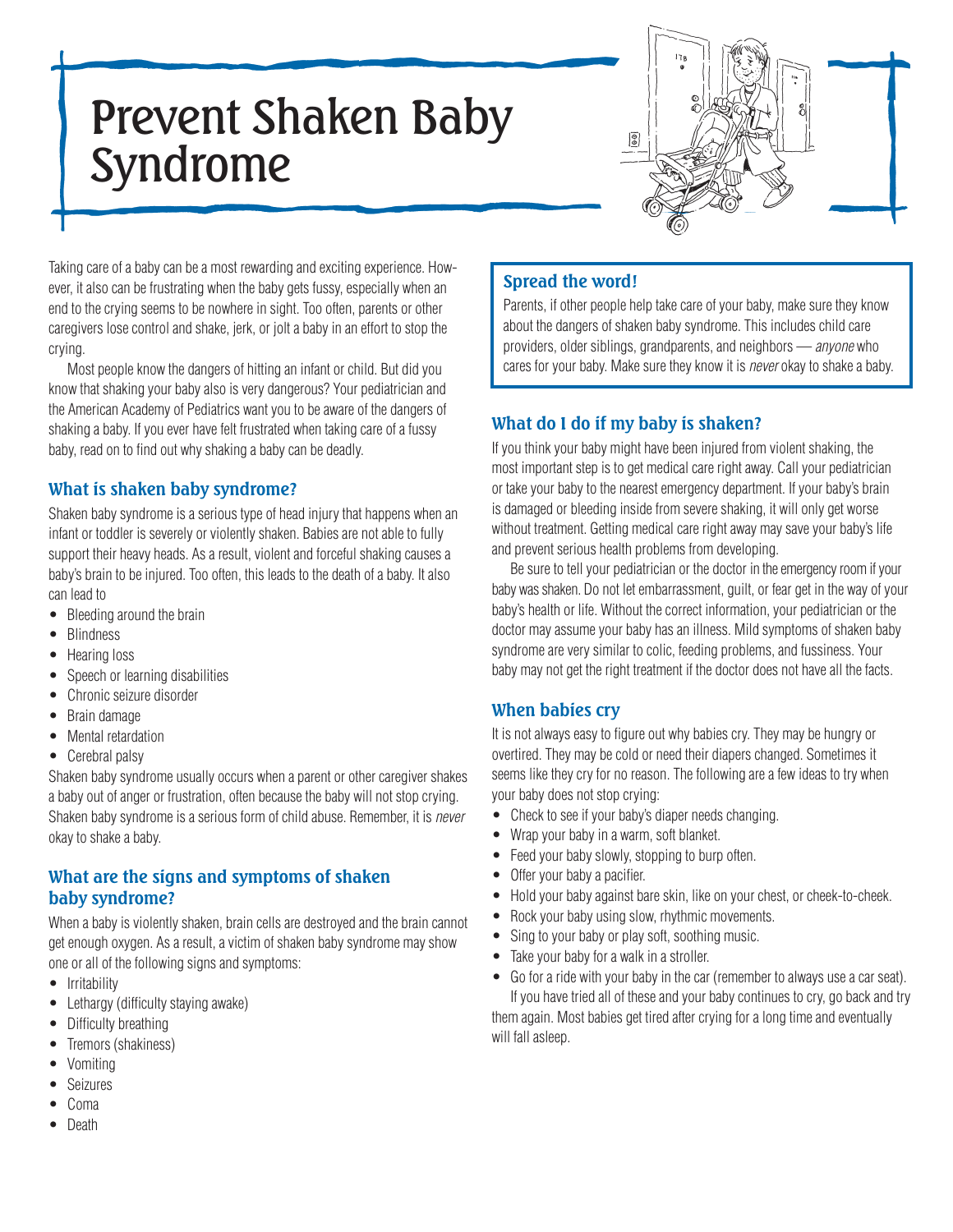# Prevent Shaken Baby Syndrome



Taking care of a baby can be a most rewarding and exciting experience. However, it also can be frustrating when the baby gets fussy, especially when an end to the crying seems to be nowhere in sight. Too often, parents or other caregivers lose control and shake, jerk, or jolt a baby in an effort to stop the crying.

Most people know the dangers of hitting an infant or child. But did you know that shaking your baby also is very dangerous? Your pediatrician and the American Academy of Pediatrics want you to be aware of the dangers of shaking a baby. If you ever have felt frustrated when taking care of a fussy baby, read on to find out why shaking a baby can be deadly.

# **What is shaken baby syndrome?**

Shaken baby syndrome is a serious type of head injury that happens when an infant or toddler is severely or violently shaken. Babies are not able to fully support their heavy heads. As a result, violent and forceful shaking causes a baby's brain to be injured. Too often, this leads to the death of a baby. It also can lead to

- Bleeding around the brain
- Blindness
- Hearing loss
- Speech or learning disabilities
- Chronic seizure disorder
- Brain damage
- Mental retardation
- Cerebral palsy

Shaken baby syndrome usually occurs when a parent or other caregiver shakes a baby out of anger or frustration, often because the baby will not stop crying. Shaken baby syndrome is a serious form of child abuse. Remember, it is *never* okay to shake a baby.

## **What are the signs and symptoms of shaken baby syndrome?**

When a baby is violently shaken, brain cells are destroyed and the brain cannot get enough oxygen. As a result, a victim of shaken baby syndrome may show one or all of the following signs and symptoms:

- Irritability
- Lethargy (difficulty staying awake)
- Difficulty breathing
- Tremors (shakiness)
- Vomiting
- **Seizures**
- Coma
- Death

#### **Spread the word!**

Parents, if other people help take care of your baby, make sure they know about the dangers of shaken baby syndrome. This includes child care providers, older siblings, grandparents, and neighbors — *anyone* who cares for your baby. Make sure they know it is *never* okay to shake a baby.

#### **What do I do if my baby is shaken?**

If you think your baby might have been injured from violent shaking, the most important step is to get medical care right away. Call your pediatrician or take your baby to the nearest emergency department. If your baby's brain is damaged or bleeding inside from severe shaking, it will only get worse without treatment. Getting medical care right away may save your baby's life and prevent serious health problems from developing.

Be sure to tell your pediatrician or the doctor in the emergency room if your baby was shaken. Do not let embarrassment, guilt, or fear get in the way of your baby's health or life. Without the correct information, your pediatrician or the doctor may assume your baby has an illness. Mild symptoms of shaken baby syndrome are very similar to colic, feeding problems, and fussiness. Your baby may not get the right treatment if the doctor does not have all the facts.

# **When babies cry**

It is not always easy to figure out why babies cry. They may be hungry or overtired. They may be cold or need their diapers changed. Sometimes it seems like they cry for no reason. The following are a few ideas to try when your baby does not stop crying:

- Check to see if your baby's diaper needs changing.
- Wrap your baby in a warm, soft blanket.
- Feed your baby slowly, stopping to burp often.
- Offer your baby a pacifier.
- Hold your baby against bare skin, like on your chest, or cheek-to-cheek.
- Rock your baby using slow, rhythmic movements.
- Sing to your baby or play soft, soothing music.
- Take your baby for a walk in a stroller.
- Go for a ride with your baby in the car (remember to always use a car seat). If you have tried all of these and your baby continues to cry, go back and try them again. Most babies get tired after crying for a long time and eventually will fall asleep.